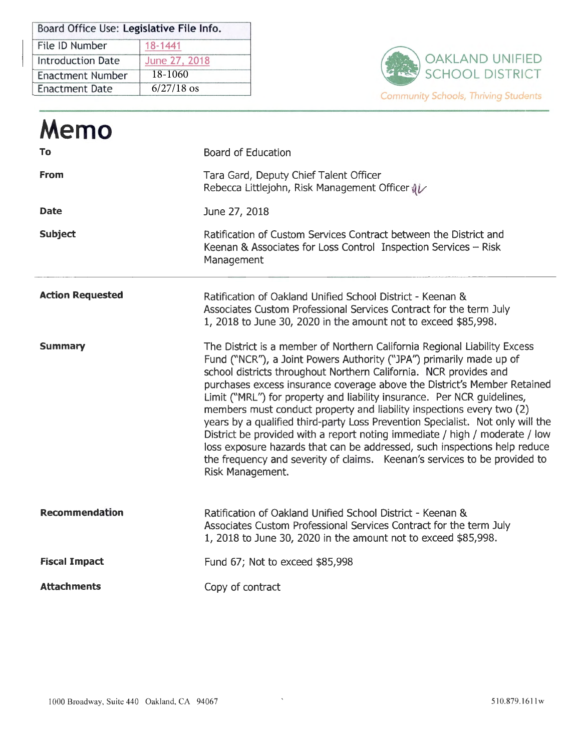| Board Office Use: Legislative File Info. |               |  |
|------------------------------------------|---------------|--|
| File ID Number                           | 18-1441       |  |
| <b>Introduction Date</b>                 | June 27, 2018 |  |
| Enactment Number                         | 18-1060       |  |
| Enactment Date                           | $6/27/18$ os  |  |



| Memo                    |                                                                                                                                                                                                                                                                                                                                                                                                                                                                                                                                                                                                                                                                                                                                                                                                      |
|-------------------------|------------------------------------------------------------------------------------------------------------------------------------------------------------------------------------------------------------------------------------------------------------------------------------------------------------------------------------------------------------------------------------------------------------------------------------------------------------------------------------------------------------------------------------------------------------------------------------------------------------------------------------------------------------------------------------------------------------------------------------------------------------------------------------------------------|
| To                      | <b>Board of Education</b>                                                                                                                                                                                                                                                                                                                                                                                                                                                                                                                                                                                                                                                                                                                                                                            |
| From                    | Tara Gard, Deputy Chief Talent Officer<br>Rebecca Littlejohn, Risk Management Officer (                                                                                                                                                                                                                                                                                                                                                                                                                                                                                                                                                                                                                                                                                                              |
| <b>Date</b>             | June 27, 2018                                                                                                                                                                                                                                                                                                                                                                                                                                                                                                                                                                                                                                                                                                                                                                                        |
| <b>Subject</b>          | Ratification of Custom Services Contract between the District and<br>Keenan & Associates for Loss Control Inspection Services - Risk<br>Management                                                                                                                                                                                                                                                                                                                                                                                                                                                                                                                                                                                                                                                   |
| <b>Action Requested</b> | Ratification of Oakland Unified School District - Keenan &<br>Associates Custom Professional Services Contract for the term July<br>1, 2018 to June 30, 2020 in the amount not to exceed \$85,998.                                                                                                                                                                                                                                                                                                                                                                                                                                                                                                                                                                                                   |
| <b>Summary</b>          | The District is a member of Northern California Regional Liability Excess<br>Fund ("NCR"), a Joint Powers Authority ("JPA") primarily made up of<br>school districts throughout Northern California. NCR provides and<br>purchases excess insurance coverage above the District's Member Retained<br>Limit ("MRL") for property and liability insurance. Per NCR guidelines,<br>members must conduct property and liability inspections every two (2)<br>years by a qualified third-party Loss Prevention Specialist. Not only will the<br>District be provided with a report noting immediate / high / moderate / low<br>loss exposure hazards that can be addressed, such inspections help reduce<br>the frequency and severity of claims. Keenan's services to be provided to<br>Risk Management. |
| <b>Recommendation</b>   | Ratification of Oakland Unified School District - Keenan &<br>Associates Custom Professional Services Contract for the term July<br>1, 2018 to June 30, 2020 in the amount not to exceed \$85,998.                                                                                                                                                                                                                                                                                                                                                                                                                                                                                                                                                                                                   |
| <b>Fiscal Impact</b>    | Fund 67; Not to exceed \$85,998                                                                                                                                                                                                                                                                                                                                                                                                                                                                                                                                                                                                                                                                                                                                                                      |
| <b>Attachments</b>      | Copy of contract                                                                                                                                                                                                                                                                                                                                                                                                                                                                                                                                                                                                                                                                                                                                                                                     |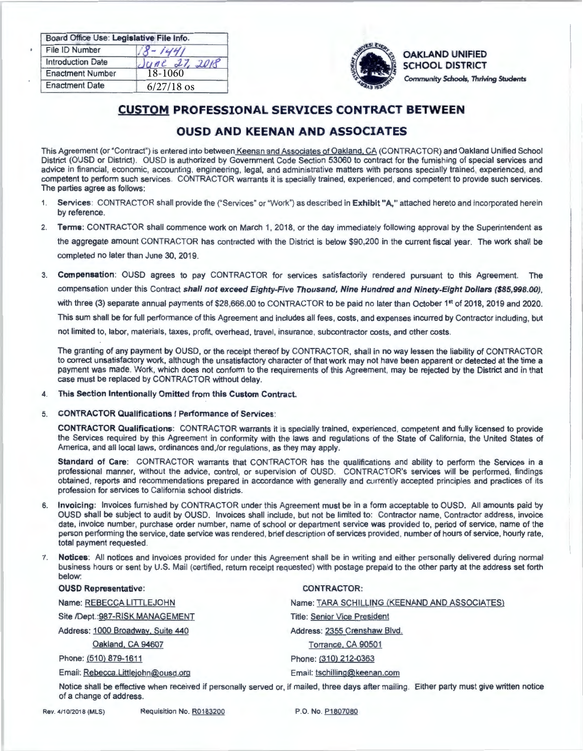| Board Office Use: Legislative File Info. |               |
|------------------------------------------|---------------|
| File ID Number                           | $-1441$       |
| <b>Introduction Date</b>                 | June 27, 2018 |
| <b>Enactment Number</b>                  | 18-1060       |
| <b>Enactment Date</b>                    | $6/27/18$ os  |



*~~;,."'i* **OAKLAND** UNIFIED SCHOOL DISTRICT *""'-<. ~ "'* Community *Schools,* Thriving Students

# **CUSTOM PROFESSIONAL SERVICES CONTRACT BETWEEN**

# **OUSD AND KEENAN AND ASSOCIATES**

This Agreement (or "Contract") is entered into between Keenan and Associates of Oakland, CA (CONTRACTOR) and Oakland Unified School District (OUSD or District). OUSD is authorized by Government Code Section 53060 to contract for the furnishing of special services and advice in financial, economic, accounting, engineering, legal, and administrative matters with persons specially trained, experienced, and competent to perform such services. CONTRACTOR warrants it is specially trained, experienced, and competent to provide such services. The parties agree as follows:

- 1. **Services:** CONTRACTOR shall provide the ("Services" or "Work") as described in **Exhibit "A."** attached hereto and incorporated herein by reference.
- 2. **Terms:** CONTRACTOR shall commence work on March 1, 2018, or the day immediately following approval by the Superintendent as the aggregate amount CONTRACTOR has contracted with the District is below \$90,200 in the current fiscal year. The work shall be completed no later than June 30, 2019.
- 3. **Compensation:** OUSD agrees to pay CONTRACTOR for services satisfactorily rendered pursuant to this Agreement. The compensation under this Contract **shall not exceed Eighty-Five Thousand, Nine Hundred and Ninety-Eight Dollars (\$85,998.00) ,**  with three (3) separate annual payments of \$28,666.00 to CONTRACTOR to be paid no later than October 1<sup>st</sup> of 2018, 2019 and 2020. This sum shall be forfull performance of this Agreement and includes all fees, costs. and expenses incurred by Contractor including, but not limited to, labor, materials, taxes, profit, overhead, travel, insurance, subcontractor costs, and other costs.

The granting of any payment by OUSD, or the receipt thereof by CONTRACTOR, shall in no way lessen the liability of CONTRACTOR to correct unsatisfactory work, although the unsatisfactory character of that work may not have been apparent or detected at the time a payment was made. Work, which does not conform to the requirements of this Agreement, may be rejected by the District and in that case must be replaced by CONTRACTOR without delay.

- **4. This Section Intentionally Omitted from this Custom Contract.**
- 5. **CONTRACTOR Qualifications/ Performance of Services:**

**CONTRACTOR Qualifications:** CONTRACTOR warrants it is specially trained, experienced, competent and fully licensed to provide the Services required by this Agreement in conformity with the laws and regulations of the State of California, the United States of America, and all local laws, ordinances and,/or regulations, as they may apply.

Standard of Care: CONTRACTOR warrants that CONTRACTOR has the qualifications and ability to perform the Services in a professional manner, without the advice, control, or supervision of OUSD. CONTRACTOR's services will be performed, findings obtained, reports and recommendations prepared in accordance with generally and currently accepted principles and practices of its profession for services to California school districts.

- 6. **Invoicing:** Invoices furnished by CONTRACTOR under this Agreement must be in a form acceptable to OUSD. All amounts paid by OUSD shall be subject to audit by OUSD. Invoices shall include, but not be limited to: Contractor name, Contractor address, invoice date, invoice number, purchase order number. name of school or department service was provided to, period of service, name of the person performing the service, date service was rendered, brief description of services provided, number of hours of service, hourly rate, total payment requested.
- 7. **Notices:** All notices and invoices provided for under this Agreement shall be in writing and either personally delivered during normal business hours or sent by U.S. Mail (certified, return receipt requested) with postage prepaid to the other party at the address set forth below:

| <b>OUSD Representative:</b>        | <b>CONTRACTOR:</b>                                                                                                                          |
|------------------------------------|---------------------------------------------------------------------------------------------------------------------------------------------|
| Name: REBECCA LITTLEJOHN           | Name: TARA SCHILLING (KEENAND AND ASSOCIATES)                                                                                               |
| Site /Dept.: 987-RISK MANAGEMENT   | <b>Title: Senior Vice President</b>                                                                                                         |
| Address: 1000 Broadway, Suite 440  | Address: 2355 Crenshaw Blvd.                                                                                                                |
| Oakland, CA 94607                  | Torrance, CA 90501                                                                                                                          |
| Phone: (510) 879-1611              | Phone: (310) 212-0363                                                                                                                       |
| Email: Rebecca.Littlejohn@ousd.org | Email: tschilling@keenan.com                                                                                                                |
|                                    | Notice shall be effective when received if personally served or, if mailed, three days after mailing. Either party must give written notice |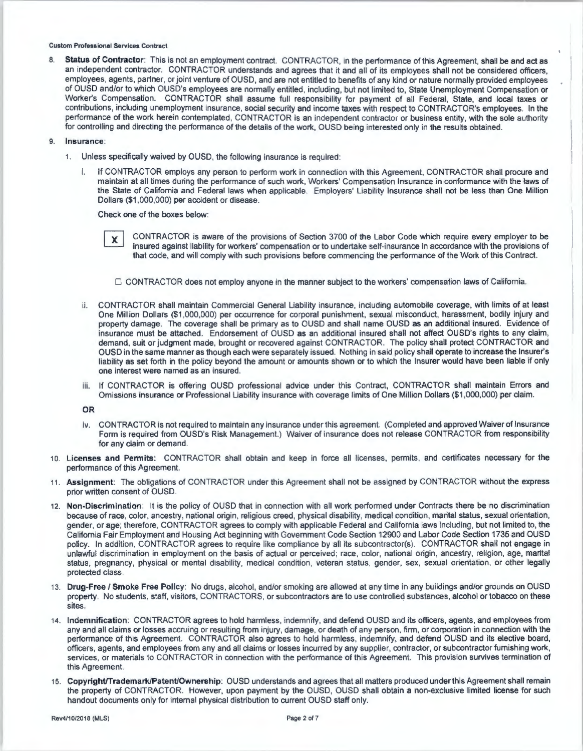8. Status of Contractor: This is not an employment contract. CONTRACTOR, in the performance of this Agreement, shall be and act as an independent contractor. CONTRACTOR understands and agrees that it and all of its employees shall not be considered officers, employees, agents, partner, or joint venture of OUSD, and are not entitled to benefits of any kind or nature normally provided employees of OUSD and/or to which OUSD's employees are normally entitled, including, but not limited to, State Unemployment Compensation or Worker's Compensation. CONTRACTOR shall assume full responsibility for payment of all Federal, State, and local taxes or contributions, including unemployment insurance, social security and income taxes with respect to CONTRACTOR's employees. In the performance of the work herein contemplated, CONTRACTOR is an independent contractor or business entity, with the sole authority for controlling and directing the performance of the details of the work, OUSD being interested only in the results obtained.

# 9. Insurance:

- 1. Unless specifically waived by OUSD, the following insurance is required:
	- If CONTRACTOR employs any person to perform work in connection with this Agreement, CONTRACTOR shall procure and maintain at all times during the performance of such work, Workers' Compensation Insurance in conformance with the laws of the State of California and Federal laws when applicable. Employers' Liability Insurance shall not be less than One Million Dollars (\$1 ,000,000) per accident or disease.

Check one of the boxes below:

CONTRACTOR is aware of the provisions of Section 3700 of the Labor Code which require every employer to be X insured against liability for workers' compensation or to undertake self-insurance in accordance with the provisions of that code, and will comply with such provisions before commencing the performance of the Work of this Contract.

□ CONTRACTOR does not employ anyone in the manner subject to the workers' compensation laws of California.

- CONTRACTOR shall maintain Commercial General Liability insurance, including automobile coverage, with limits of at least One Million Dollars (\$1 ,000,000) per occurrence for corporal punishment, sexual misconduct, harassment, bodily injury and property damage. The coverage shall be primary as to OUSD and shall name OUSD as an additional insured. Evidence of insurance must be attached. Endorsement of OUSD as an additional insured shall not affect OUSD's rights to any claim, demand, suit or judgment made, brought or recovered against CONTRACTOR. The policy shall protect CONTRACTOR and OUSD in the same manner as though each were separately issued. Nothing in said policy shall operate to increase the Insurer's liability as set forth in the policy beyond the amount or amounts shown or to which the Insurer would have been liable if only one interest were named as an insured.
- iii. If CONTRACTOR is offering OUSD professional advice under this Contract, CONTRACTOR shall maintain Errors and Omissions insurance or Professional Liability insurance with coverage limits of One Million Dollars (\$1,000,000) per claim.

**OR** 

- iv. CONTRACTOR is not required to maintain any insurance under this agreement. (Completed and approved Waiver of Insurance Form is required from OUSD's Risk Management.) Waiver of insurance does not release CONTRACTOR from responsibility for any claim or demand.
- 10. **Licenses and Permits:** CONTRACTOR shall obtain and keep in force all licenses, permits, and certificates necessary for the performance of this Agreement.
- 11 . **Assignment:** The obligations of CONTRACTOR under this Agreement shall not be assigned by CONTRACTOR without the express prior written consent of OUSD.
- 12. **Non-Discrimination:** It is the policy of OUSD that in connection with all work performed under Contracts there be no discrimination because of race, color, ancestry, national origin, religious creed, physical disability, medical condition, marital status, sexual orientation, gender, or age; therefore, CONTRACTOR agrees to comply with applicable Federal and California laws including, but not limited to, the California Fair Employment and Housing Act beginning with Government Code Section 12900 and Labor Code Section 1735 and OUSD policy. In addition, CONTRACTOR agrees to require like compliance by all its subcontractor(s). CONTRACTOR shall not engage in unlawful discrimination in employment on the basis of actual or perceived; race, color, national origin, ancestry, religion, age, marital status, pregnancy, physical or mental disability, medical condition, veteran status, gender, sex, sexual orientation, or other legally protected class .
- 13. **Drug-Free/ Smoke Free Policy:** No drugs, alcohol, and/or smoking are allowed at any time in any buildings and/or grounds on OUSD property. No students, staff, visitors, CONTRACTORS, or subcontractors are to use controlled substances, alcohol or tobacco on these sites.
- 14. Indemnification: CONTRACTOR agrees to hold harmless, indemnify, and defend OUSD and its officers, agents, and employees from any and all claims or losses accruing or resulting from injury, damage, or death of any person, firm, or corporation in connection with the performance of this Agreement. CONTRACTOR also agrees to hold harmless, indemnify, and defend OUSD and its elective board, officers, agents, and employees from any and al l claims or losses incurred by any supplier, contractor, or subcontractor furnishing work, services, or materials to CONTRACTOR in connection with the performance of this Agreement. This provision survives termination of this Agreement.
- 15. **Copyright/Trademark/Patent/Ownership:** OUSD understands and agrees that all matters produced under this Agreement shall remain the property of CONTRACTOR. However, upon payment by the OUSD, OUSD shall obtain a non-exclusive limited license for such handout documents only for internal physical distribution to current OUSD staff only.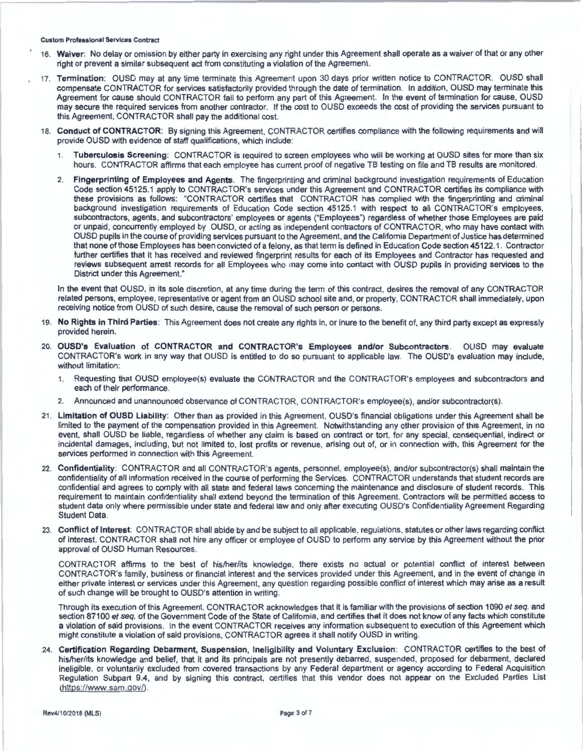- 16. **Waiver:** No delay or omission by either party in exercising any right under this Agreement shall operate as a waiver of that or any other right or prevent a similar subsequent act from constituting a violation of the Agreement.
- 17. **Tennination:** OUSD may at any time terminate this Agreement upon 30 days prior written notice to CONTRACTOR. OUSD shall compensate CONTRACTOR for services satisfactorily provided through the date of termination. In addition, OUSD may terminate this Agreement for cause should CONTRACTOR fail to perform any part of this Agreement. In the event of termination for cause, OUSD may secure the required services from another contractor. If the cost to OUSD exceeds the cost of providing the services pursuant to this Agreement, CONTRACTOR shall pay the additional cost.
- 18. **Conduct of CONTRACTOR:** By signing this Agreement, CONTRACTOR certifies compliance with the following requirements and will provide OUSD with evidence of staff qualifications, which include:
	- 1. **Tuberculosis Screening:** CONTRACTOR is required to screen employees who will be working at OUSD sites for more than six hours. CONTRACTOR affirms that each employee has current proof of negative TB testing on file and TB results are monitored.
	- 2. **Fingerprinting of Employees and Agents.** The fingerprinting and criminal background investigation requirements of Education Code section 45125.1 apply to CONTRACTOR's services under this Agreement and CONTRACTOR certifies its compliance with these provisions as follows: "CONTRACTOR certifies that CONTRACTOR has complied with the fingerprinting and criminal background investigation requirements of Education Code section 45125.1 with respect to all CONTRACTOR's employees, subcontractors, agents, and subcontractors' employees or agents ("Employees") regardless of whether those Employees are paid or unpaid, concurrently employed by OUSD, or acting as independent contractors of CONTRACTOR, who may have contact with OUSD pupils in the course of providing services pursuant to the Agreement, and the California Department of Justice has determined that none of those Employees has been convicted of a felony, as that term is defined in Education Code section 45122.1. Contractor further certifies that it has received and reviewed fingerprint results for each of its Employees and Contractor has requested and reviews subsequent arrest records for all Employees who may come into contact with OUSD pupils in providing services to the District under this Agreement."

In the event that OUSD, in its sole discretion, at any time during the term of this contract, desires the removal of any CONTRACTOR related persons, employee, representative or agent from an OUSD school site and, or property, CONTRACTOR shall immediately, upon receiving notice from OUSD of such desire, cause the removal of such person or persons.

- 19. **No Rights in Third Parties:** This Agreement does not create any rights in, or inure to the benefit of, any third party except as expressly provided herein.
- 20. **OUSD's Evaluation of CONTRACTOR and CONTRACTOR's Employees and/or Subcontractors.** OUSD may evaluate CONTRACTOR's work in any way that OUSD is entitled to do so pursuant to applicable law. The OUSD's evaluation may include, without limitation:
	- 1. Requesting that OUSD employee(s) evaluate the CONTRACTOR and the CONTRACTOR's employees and subcontractors and each of their performance.
	- 2. Announced and unannounced observance of CONTRACTOR, CONTRACTOR's employee(s), and/or subcontractor(s).
- 21 . **Limitation of OUSD Liability:** Other than as provided in this Agreement, OUSD's financial obligations under this Agreement shall be limited to the payment of the compensation provided in this Agreement. Notwithstanding any other provision of this Agreement, in no event, shall OUSD be liable, regardless of whether any claim is based on contract or tort, for any special, consequential, indirect or incidental damages, including, but not limited to, lost profits or revenue, arising out of, or in connection with, this Agreement for the services performed in connection with this Agreement.
- 22. **Confidentiality:** CONTRACTOR and all CONTRACTOR's agents, personnel, employee(s), and/or subcontractor(s) shall maintain the confidentiality of all information received in the course of performing the Services. CONTRACTOR understands that student records are confidential and agrees to comply with all state and federal laws concerning the maintenance and disclosure of student records. This requirement to maintain confidentiality shall extend beyond the termination of this Agreement. Contractors will be permitted access to student data only where permissible under state and federal law and only after executing OUSD's Confidentiality Agreement Regarding Student Data.
- 23. **Conflict of Interest:** CONTRACTOR shall abide by and be subject to all applicable, regulations , statutes or other laws regarding conflict of interest. CONTRACTOR shall not hire any officer or employee of OUSD to perform any service by this Agreement without the prior approval of OUSD Human Resources.

CONTRACTOR affirms to the best of his/her/its knowledge, there exists no actual or potential conflict of interest between CONTRACTOR's family, business or financial interest and the services provided under this Agreement, and in the event of change in either private interest or services under this Agreement, any question regarding possible conflict of interest which may arise as a result of such change will be brought to OUSD's attention in writing .

Through its execution of this Agreement, CONTRACTOR acknowledges that it is familiar with the provisions of section 1090 et seq. and section 87100 et seq. of the Government Code of the State of California, and certifies that it does not know of any facts which constitute a violation of said provisions. In the event CONTRACTOR receives any information subsequent to execution of this Agreement which might constitute a violation of said provisions, CONTRACTOR agrees it shall notify OUSD in writing.

24. **Certification Regarding Debarment, Suspension, Ineligibility and Voluntary Exclusion:** CONTRACTOR certifies to the best of his/her/its knowledge and belief, that it and its principals are not presently debarred, suspended, proposed for debarment, declared ineligible, or voluntarily excluded from covered transactions by any Federal department or agency according to Federal Acquisition Regulation Subpart 9.4, and by signing this contract, certifies that this vendor does not appear on the Excluded Parties List (https://www.sam.gov/).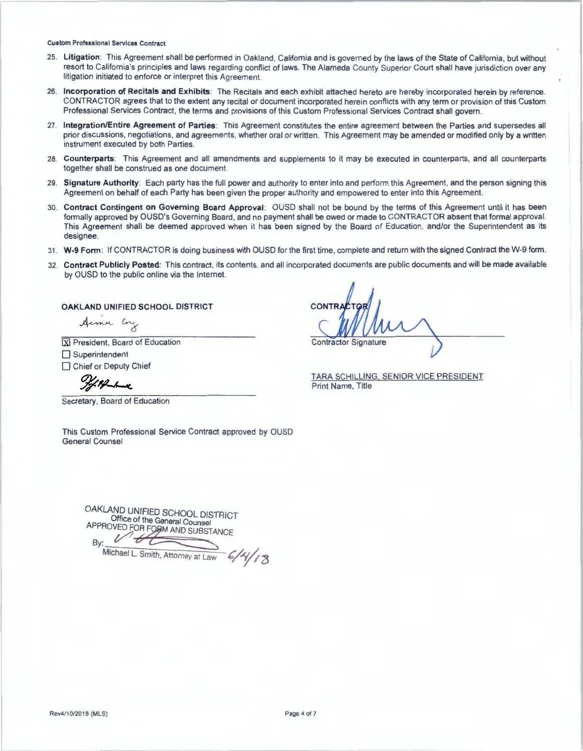- 25. **Litigation:** This Agreement shall be performed in Oakland, California and is governed by the laws of the State of California, but without resort to California's principles and laws regarding conflict of laws. The Alameda County Superior Court shall have jurisdiction over any litigation initiated to enforce or interpret this Agreement.
- 26. Incorporation of Recitals and Exhibits: The Recitals and each exhibit attached hereto are hereby incorporated herein by reference. CONTRACTOR agrees that to the extent any recital or document incorporated herein conflicts with any term or provision of this Custom Professional Services Contract, the terms and provisions of this Custom Professional Services Contract shall govern.
- 27. **lntegrationlEntire Agreement of Parties :** This Agreement constitutes the entire agreement between the Parties and supersedes all prior discussions, negotiations, and agreements, whether oral or written. This Agreement may be amended or modified only by a written instrument executed by both Parties.
- 28. **Counterparts:** This Agreement and all amendments and supplements to it may be executed in counterparts, and all counterparts together shall be construed as one document.
- 29. Signature Authority: Each party has the full power and authority to enter into and perform this Agreement, and the person signing this Agreement on behalf of each Party has been given the proper authority and empowered to enter into this Agreement.
- 30. Contract Contingent on Governing Board Approval: OUSD shall not be bound by the terms of this Agreement until it has been formally approved by OUSD's Governing Board, and no payment shall be owed or made to CONTRACTOR absent that formal approval. This Agreement shall be deemed approved when it has been signed by the Board of Education, and/or the Superintendent as its designee.
- 31. W-9 Form: If CONTRACTOR is doing business with OUSD for the first time, complete and return with the signed Contract the W-9 form.
- 32. **Contract Publicly Posted:** This contract, its contents, and all incorporated documents are public documents and will be made available by OUSD to the public online via the Internet.

**OAKLAND UNIFIED SCHOOL DISTRICT** 

Aime Eng

 $\overline{\mathbf{X}}$  President, Board of Education

 $\Box$  Superintendent

□ Chief or Deputy Chief

Secretary, Board of Education

This Custom Professional Service Contract approved by OUSD General Counsel

**OAKLAND** UNIFIED SCHOOL DISTRICT Office of the General Counsel Office of the General Counsel<br>APPROVED FOR FORM AND SUBSTANCE By: *t/J..,,.;6;,.:;;~.,.-=.= =* 

Michael L. Smith, Attomey at Law

**Contractor Signature** 

TARA SCHILLING. SENIOR VICE PRESIDENT Print Name, Title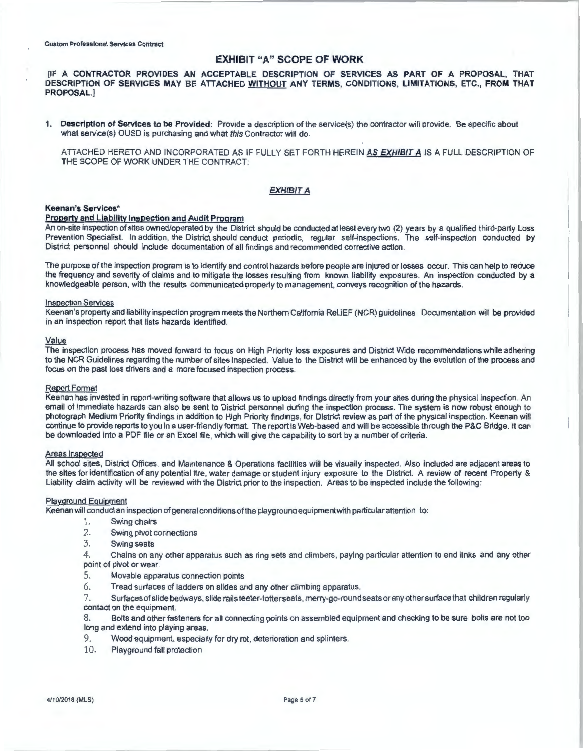# EXHIBIT "A" SCOPE OF WORK

IIF A CONTRACTOR PROVIDES AN ACCEPTABLE DESCRIPTION OF SERVICES AS PART OF A PROPOSAL, THAT DESCRIPTION OF SERVICES MAY BE ATTACHED WITHOUT ANY TERMS, CONDITIONS, LIMITATIONS, ETC., FROM THAT PROPOSAL.]

1. Description of Services to be Provided: Provide a description of the service(s) the contractor will provide. Be specific about what service(s) OUSD is purchasing and what this Contractor will do.

ATTACHED HERETO AND INCORPORATED AS IF FULLY SET FORTH HEREIN **AS EXHIBIT A** IS A FULL DESCRIPTION OF THE SCOPE OF WORK UNDER THE CONTRACT:

# **EXHIBIT A**

## **Keenan's Services\***

# **Property and Liability Inspection and Audit Program**

An on-site inspection of sites owned/operated by the District should be conducted at least every two (2) years by a qualified third-party Loss Prevention Specialist. In addition, the District should conduct periodic, regular self-inspections. The self-inspection conducted by District personnel should include documentation of all findings and recommended corrective action.

The purpose of the inspection program is to identify and control hazards before people are injured or losses occur. This can help to reduce the frequency and severity of claims and to mitigate the losses resulting from known liability exposures. An inspection conducted by a knowledgeable person, with the results communicated properly to management, conveys recognition of the hazards.

#### **Inspection Services**

Keenan's property and liability inspection program meets the Northern California ReLiEF (NCR) guidelines. Documentation will be provided in an inspection report that lists hazards identified.

#### Value

The inspection process has moved forward to focus on High Priority loss exposures and District Wide recommendations while adhering to the NCR Guidelines regarding the number of sites inspected. Value to the District will be enhanced by the evolution of the process and focus on the past loss drivers and a more focused inspection process.

#### Report Format

Keenan has invested in report-writing software that allows us to upload findings directly from your sites during the physical inspection. An email of immediate hazards can also be sent to District personnel during the inspection process. The system is now robust enough to photograph Medium Priority findings in addition to High Priority findings, for District review as part of the physical inspection. Keenan will continue to provide reports to you in a user-friendly format. The report is Web-based and will be accessible through the P&C Bridge. It can be downloaded into a PDF file or an Excel file, which will give the capability to sort by a number of criteria.

#### Areas Inspected

All school sites, District Offices, and Maintenance & Operations facilities will be visually inspected. Also included are adjacent areas to the sites for identification of any potential fire , water damage or student injury exposure to the District. A review of recent Property & Liability claim activity will be reviewed with the District prior to the inspection. Areas to be inspected include the following:

#### Playground Equipment

Keenan will conduct an inspection of general conditions of the playground equipment with particular attention to:

- 1. Swing chairs
- 2. Swing pivot connections
- 3. Swing seats

4. Chains on any other apparatus such as ring sets and climbers, paying particular attention to end links and any other point of pivot or wear.

- 5. Movable apparatus connection points
- 6. Tread surfaces of ladders on slides and any other climbing apparatus.

7. Surfaces of slide bedways, slide rails teeter-totter seats, merry-go-round seats or any other surface that children regularly contact on the equipment.

- 8. Bolts and other fasteners for all connecting points on assembled equipment and checking to be sure bolts are not too long and extend into playing areas.
- 9. Wood equipment, especially for dry rot, deterioration and splinters.
- 10. Playground fall protection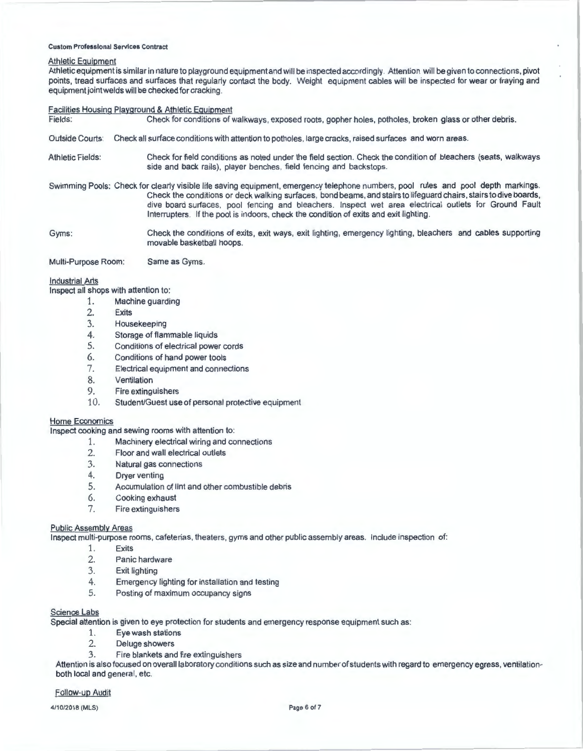# Athletic Equipment

Athletic equipment is similar in nature to playground equipment and will be inspected accordingly. Attention will be given to connections, pivot points, tread surfaces and surfaces that regularly contact the body. Weight equipment cables will be inspected for wear or fraying and equipment joint welds will be checked for cracking.

# **Facilities Housing Playground & Athletic Equipment**<br>Fields: Check for conditions of v

Check for conditions of walkways, exposed roots, gopher holes, potholes, broken glass or other debris.

- Outside Courts: Check all surface conditions with attention to potholes, large cracks, raised surfaces and worn areas.
- Athletic Fields: Check for field conditions as noted under the field section. Check the condition of bleachers (seats, walkways side and back rails), player benches, field fencing and backstops.
- Swimming Pools: Check for clearly visible life saving equipment, emergency telephone numbers, pool rules and pool depth markings. Check the conditions or deck walking surfaces, bond beams, and stairs to lifeguard chairs , stairs to dive boards, dive board surfaces, pool fencing and bleachers. Inspect wet area electrical outlets for Ground Fault Interrupters. If the pool is indoors, check the condition of exits and exit lighting.
- Gyms: Check the conditions of exits, exit ways, exit lighting, emergency lighting, bleachers and cables supporting movable basketball hoops.

Multi-Purpose Room: Same as Gyms.

## Industrial Arts

Inspect all shops with attention to:

- 1. Machine guarding
	- 2. Exits
	- 3. Housekeeping<br>4. Storage of flan
	- Storage of flammable liquids
	- 5. Conditions of electrical power cords
	- Conditions of hand power tools 6.
	- Electrical equipment and connections 7.
	- Ventilation 8.
	- Fire extinguishers 9.
	- 10. Student/Guest use of personal protective equipment

#### Home Economics

Inspect cooking and sewing rooms with attention to:

- 1. Machinery electrical wiring and connections
- 2. Floor and wall electrical outlets
- 3. Natural gas connections
- 4. Dryer venting
- 5. Accumulation of lint and other combustible debris
- 6. Cooking exhaust
- 7. Fire extinguishers

#### Public Assembly Areas

Inspect multi-purpose rooms, cafeterias, theaters, gyms and other public assembly areas. Include inspection of:

- 1. Exits
- 2. Panic hardware
- 3. Exit lighting
- 4. Emergency lighting for installation and testing
- 5. Posting of maximum occupancy signs

#### Science Labs

Special attention is given to eye protection for students and emergency response equipment such as:

- 1. Eye wash stations
- 2. Deluge showers
- 3. Fire blankets and fire extinguishers

Attention is also focused on overall laboratory conditions such as size and number of students with regard to emergency egress, ventilationboth local and general, etc.

# Follow-up Audit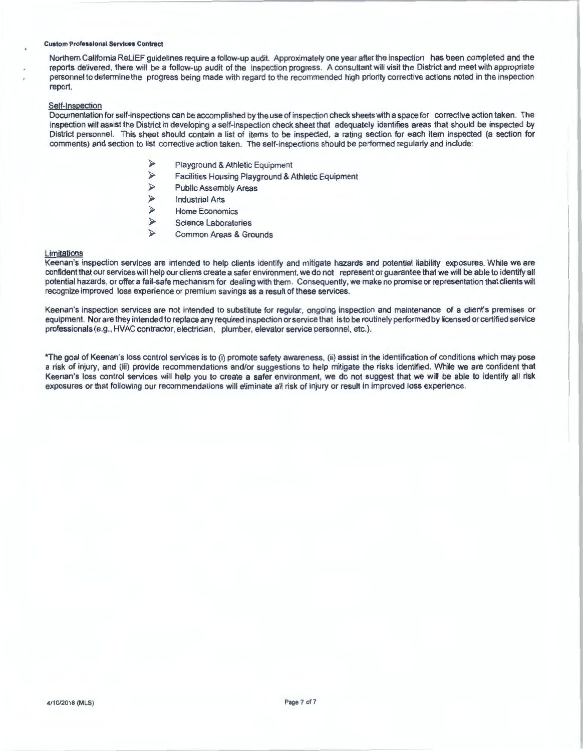Northern California ReliEF guidelines require a follow-up audit. Approximately one year after the inspection has been completed and the reports delivered, there will be a follow-up audit of the inspection progress. A consultant will visit the District and meet with appropriate personnel to determine the progress being made with regard to the recommended high priority corrective actions noted in the inspection report.

#### Self-Inspection

Documentation for self-inspections can be accomplished by the use of inspection check sheets with a space for corrective action taken. The inspection will assist the District in developing a self-inspection check sheet that adequately identifies areas that should be inspected by District personnel. This sheet should contain a list of items to be inspected, a rating section for each item inspected (a section for comments) and section to list corrective action taken. The self-inspections should be performed regularly and include:

- Playground & Athletic Equipment<br>  $\triangleright$  Facilities Housing Playground & A
- $\geq$  Facilities Housing Playground & Athletic Equipment<br> $\geq$  Public Assembly Areas
- $\triangleright$  Public Assembly Areas<br>  $\triangleright$  Industrial Arts
- $\triangleright$  Industrial Arts<br> $\triangleright$  Home Econon
- $\triangleright$  Home Economics<br> $\triangleright$  Science Laborato
- $\triangleright$  Science Laboratories<br> $\triangleright$  Common Areas & Gro
- Common Areas & Grounds

#### Limitations

Keenan's inspection services are intended to help clients identify and mitigate hazards and potential liability exposures. While we are confident that our services will help our clients create a safer environment, we do not represent or guarantee that we will be able to identify all potential hazards, or offer a fail-safe mechanism for dealing with them. Consequently, we make no promise or representation that clients will recognize improved loss experience or premium savings as a result of these services.

Keenan's inspection services are not intended to substitute for regular, ongoing inspection and maintenance of a client's premises or equipment. Nor are they intended to replace any required inspection or service that is to be routinely performed by licensed or certified service professionals (e.g., HVAC contractor, electrician, plumber, elevator service personnel, etc.).

\*The goal of Keenan's loss control services is to (i) promote safety awareness, (ii) assist in the identification of conditions which may pose a risk of injury, and (iii) provide recommendations and/or suggestions to help mitigate the risks identified. While we are confident that Keenan's loss control services will help you to create a safer environment, we do not suggest that we will be able to identify all risk exposures or that following our recommendations will eliminate all risk of injury or result in improved loss experience.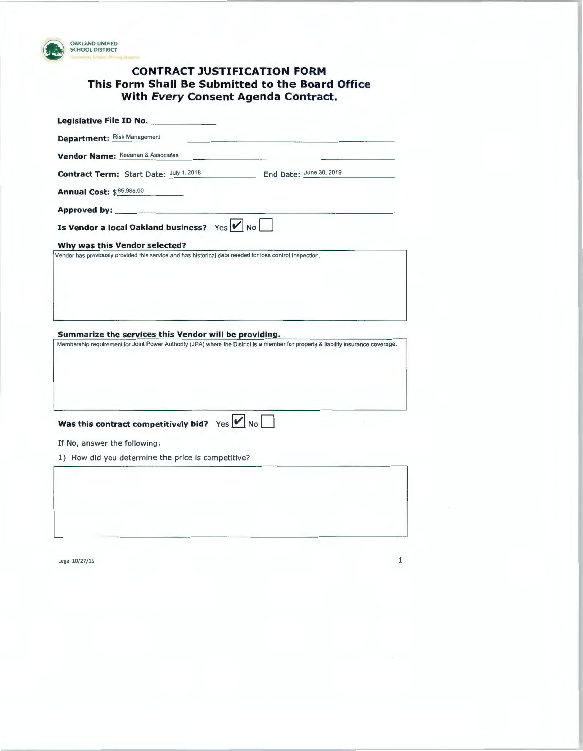

# **CONTRACT JUSTIFICATION FORM This Form Shall Be Submitted to the Board Office With Every Consent Agenda Contract.**

| Legislative File ID No.                                                                                                                                                                     |  |  |  |  |
|---------------------------------------------------------------------------------------------------------------------------------------------------------------------------------------------|--|--|--|--|
| <b>Department: Risk Management</b>                                                                                                                                                          |  |  |  |  |
| Vendor Name: Keeanan & Associates                                                                                                                                                           |  |  |  |  |
| Contract Term: Start Date: July 1, 2018<br>End Date: June 30, 2019                                                                                                                          |  |  |  |  |
| Annual Cost: \$85,988.00                                                                                                                                                                    |  |  |  |  |
|                                                                                                                                                                                             |  |  |  |  |
| Is Vendor a local Oakland business? Yes $\boxed{\smash{\checkmark}}$ No $\boxed{\phantom{\checkmark}}$                                                                                      |  |  |  |  |
| Why was this Vendor selected?                                                                                                                                                               |  |  |  |  |
| Summarize the services this Vendor will be providing.<br>Membership requirement for Joint Power Authority (JPA) where the District is a member for property & liability insurance coverage. |  |  |  |  |
| Was this contract competitively bid? Yes $\boxed{\smash{\checkmark}}$ No $\boxed{\phantom{\checkmark}}$                                                                                     |  |  |  |  |
| If No, answer the following:                                                                                                                                                                |  |  |  |  |
| 1) How did you determine the price is competitive?                                                                                                                                          |  |  |  |  |
|                                                                                                                                                                                             |  |  |  |  |

 $Legal 10/27/15$  1